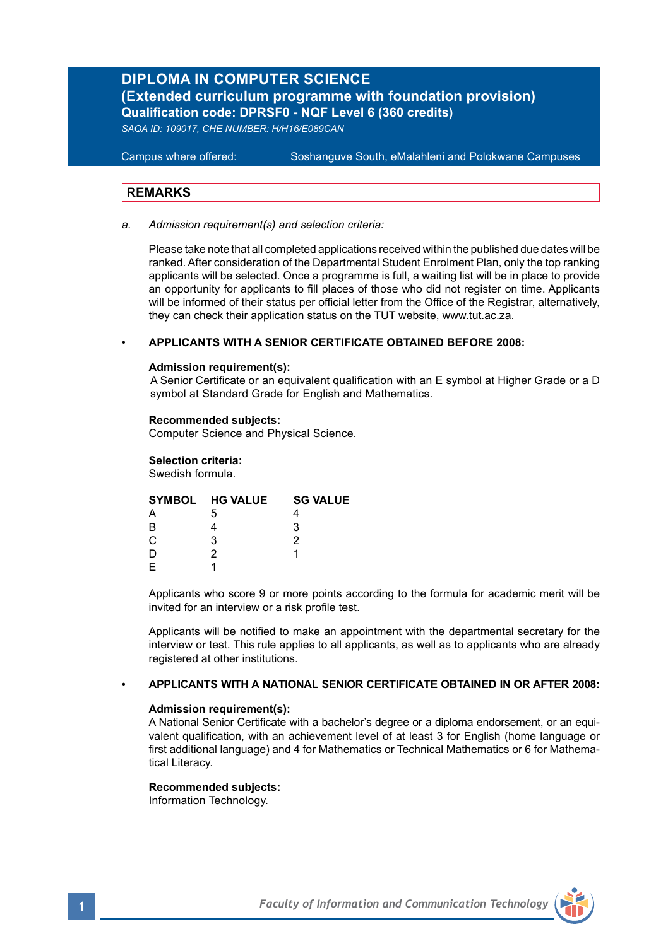# **DIPLOMA IN COMPUTER SCIENCE (Extended curriculum programme with foundation provision) Qualification code: DPRSF0 - NQF Level 6 (360 credits)**

*SAQA ID: 109017, CHE NUMBER: H/H16/E089CAN*

**Campus where offered:** 

Soshanguve South, eMalahleni and Polokwane Campuses

# **REMARKS**

*a. Admission requirement(s) and selection criteria:*

Please take note that all completed applications received within the published due dates will be ranked. After consideration of the Departmental Student Enrolment Plan, only the top ranking applicants will be selected. Once a programme is full, a waiting list will be in place to provide an opportunity for applicants to fill places of those who did not register on time. Applicants will be informed of their status per official letter from the Office of the Registrar, alternatively, they can check their application status on the TUT website, www.tut.ac.za.

#### • **APPLICANTS WITH A SENIOR CERTIFICATE OBTAINED BEFORE 2008:**

#### **Admission requirement(s):**

A Senior Certificate or an equivalent qualification with an E symbol at Higher Grade or a D symbol at Standard Grade for English and Mathematics.

#### **Recommended subjects:**

Computer Science and Physical Science.

#### **Selection criteria:**

Swedish formula.

| SYMBOL HG VALUE | <b>SG VALUE</b> |  |
|-----------------|-----------------|--|
| 5               |                 |  |
| R               |                 |  |
| C.<br>з         |                 |  |
|                 |                 |  |
|                 |                 |  |

Applicants who score 9 or more points according to the formula for academic merit will be invited for an interview or a risk profile test.

Applicants will be notified to make an appointment with the departmental secretary for the interview or test. This rule applies to all applicants, as well as to applicants who are already registered at other institutions.

#### • **APPLICANTS WITH A NATIONAL SENIOR CERTIFICATE OBTAINED IN OR AFTER 2008:**

### **Admission requirement(s):**

A National Senior Certificate with a bachelor's degree or a diploma endorsement, or an equivalent qualification, with an achievement level of at least 3 for English (home language or first additional language) and 4 for Mathematics or Technical Mathematics or 6 for Mathematical Literacy.

#### **Recommended subjects:**

Information Technology.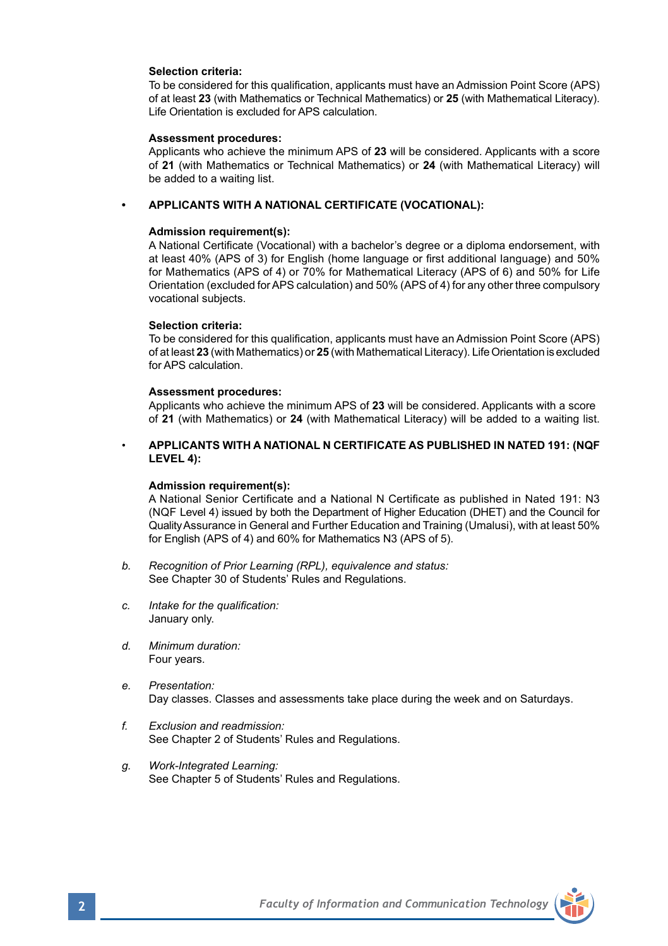### **Selection criteria:**

To be considered for this qualification, applicants must have an Admission Point Score (APS) of at least **23** (with Mathematics or Technical Mathematics) or **25** (with Mathematical Literacy). Life Orientation is excluded for APS calculation.

#### **Assessment procedures:**

Applicants who achieve the minimum APS of **23** will be considered. Applicants with a score of **21** (with Mathematics or Technical Mathematics) or **24** (with Mathematical Literacy) will be added to a waiting list.

#### **• APPLICANTS WITH A NATIONAL CERTIFICATE (VOCATIONAL):**

#### **Admission requirement(s):**

A National Certificate (Vocational) with a bachelor's degree or a diploma endorsement, with at least 40% (APS of 3) for English (home language or first additional language) and 50% for Mathematics (APS of 4) or 70% for Mathematical Literacy (APS of 6) and 50% for Life Orientation (excluded for APS calculation) and 50% (APS of 4) for any other three compulsory vocational subjects.

### **Selection criteria:**

To be considered for this qualification, applicants must have an Admission Point Score (APS) of at least **23** (with Mathematics) or **25** (with Mathematical Literacy). Life Orientation is excluded for APS calculation.

#### **Assessment procedures:**

Applicants who achieve the minimum APS of **23** will be considered. Applicants with a score of **21** (with Mathematics) or **24** (with Mathematical Literacy) will be added to a waiting list.

#### • **APPLICANTS WITH A NATIONAL N CERTIFICATE AS PUBLISHED IN NATED 191: (NQF LEVEL 4):**

#### **Admission requirement(s):**

A National Senior Certificate and a National N Certificate as published in Nated 191: N3 (NQF Level 4) issued by both the Department of Higher Education (DHET) and the Council for Quality Assurance in General and Further Education and Training (Umalusi), with at least 50% for English (APS of 4) and 60% for Mathematics N3 (APS of 5).

- *b. Recognition of Prior Learning (RPL), equivalence and status:* See Chapter 30 of Students' Rules and Regulations.
- *c. Intake for the qualification:*  January only.
- *d. Minimum duration:* Four years.
- *e. Presentation:*  Day classes. Classes and assessments take place during the week and on Saturdays.
- *f. Exclusion and readmission:* See Chapter 2 of Students' Rules and Regulations.
- *g. Work-Integrated Learning:* See Chapter 5 of Students' Rules and Regulations.

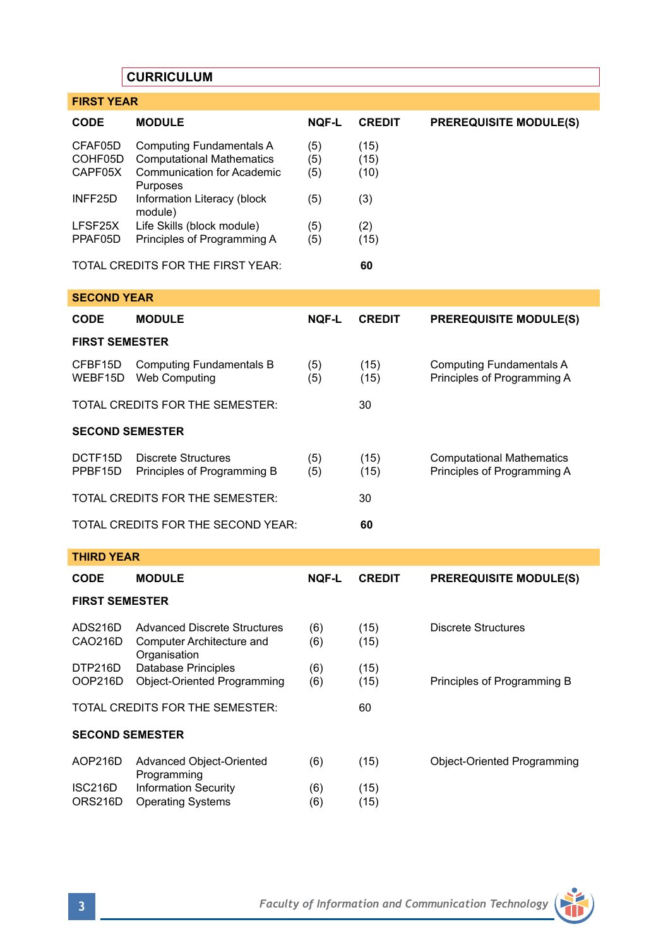# **CURRICULUM**

| <b>FIRST YEAR</b>               |                                                                                                                      |                   |                      |                                                                 |  |  |
|---------------------------------|----------------------------------------------------------------------------------------------------------------------|-------------------|----------------------|-----------------------------------------------------------------|--|--|
| CODE                            | <b>MODULE</b>                                                                                                        | NQF-L             | <b>CREDIT</b>        | <b>PREREQUISITE MODULE(S)</b>                                   |  |  |
| CFAF05D<br>COHF05D<br>CAPF05X   | <b>Computing Fundamentals A</b><br><b>Computational Mathematics</b><br><b>Communication for Academic</b><br>Purposes | (5)<br>(5)<br>(5) | (15)<br>(15)<br>(10) |                                                                 |  |  |
| INFF25D                         | Information Literacy (block<br>module)                                                                               | (5)               | (3)                  |                                                                 |  |  |
| LFSF25X<br>PPAF05D              | Life Skills (block module)<br>Principles of Programming A                                                            | (5)<br>(5)        | (2)<br>(15)          |                                                                 |  |  |
|                                 | TOTAL CREDITS FOR THE FIRST YEAR:                                                                                    |                   | 60                   |                                                                 |  |  |
| <b>SECOND YEAR</b>              |                                                                                                                      |                   |                      |                                                                 |  |  |
| CODE                            | <b>MODULE</b>                                                                                                        | NQF-L             | <b>CREDIT</b>        | <b>PREREQUISITE MODULE(S)</b>                                   |  |  |
| <b>FIRST SEMESTER</b>           |                                                                                                                      |                   |                      |                                                                 |  |  |
| CFBF15D<br>WEBF15D              | <b>Computing Fundamentals B</b><br><b>Web Computing</b>                                                              | (5)<br>(5)        | (15)<br>(15)         | <b>Computing Fundamentals A</b><br>Principles of Programming A  |  |  |
| TOTAL CREDITS FOR THE SEMESTER: |                                                                                                                      |                   | 30                   |                                                                 |  |  |
| <b>SECOND SEMESTER</b>          |                                                                                                                      |                   |                      |                                                                 |  |  |
| DCTF15D<br>PPBF15D              | Discrete Structures<br>Principles of Programming B                                                                   | (5)<br>(5)        | (15)<br>(15)         | <b>Computational Mathematics</b><br>Principles of Programming A |  |  |
| TOTAL CREDITS FOR THE SEMESTER: |                                                                                                                      |                   | 30                   |                                                                 |  |  |
|                                 | TOTAL CREDITS FOR THE SECOND YEAR:                                                                                   |                   | 60                   |                                                                 |  |  |
| <b>THIRD YEAR</b>               |                                                                                                                      |                   |                      |                                                                 |  |  |
| <b>CODE</b>                     | <b>MODULE</b>                                                                                                        | <b>NOF-L</b>      | <b>CREDIT</b>        | <b>PREREQUISITE MODULE(S)</b>                                   |  |  |
| <b>FIRST SEMESTER</b>           |                                                                                                                      |                   |                      |                                                                 |  |  |
| ADS216D<br>CAO216D              | <b>Advanced Discrete Structures</b><br>Computer Architecture and<br>Organisation                                     | (6)<br>(6)        | (15)<br>(15)         | Discrete Structures                                             |  |  |
| DTP216D<br>OOP216D              | Database Principles<br><b>Object-Oriented Programming</b>                                                            | (6)<br>(6)        | (15)<br>(15)         | Principles of Programming B                                     |  |  |

# **SECOND SEMESTER**

|         | AOP216D Advanced Object-Oriented<br>Programming   | (6)        | (15)         | Object-Oriented Programming |
|---------|---------------------------------------------------|------------|--------------|-----------------------------|
| ISC216D | Information Security<br>ORS216D Operating Systems | (6)<br>(6) | (15)<br>(15) |                             |

TOTAL CREDITS FOR THE SEMESTER: 60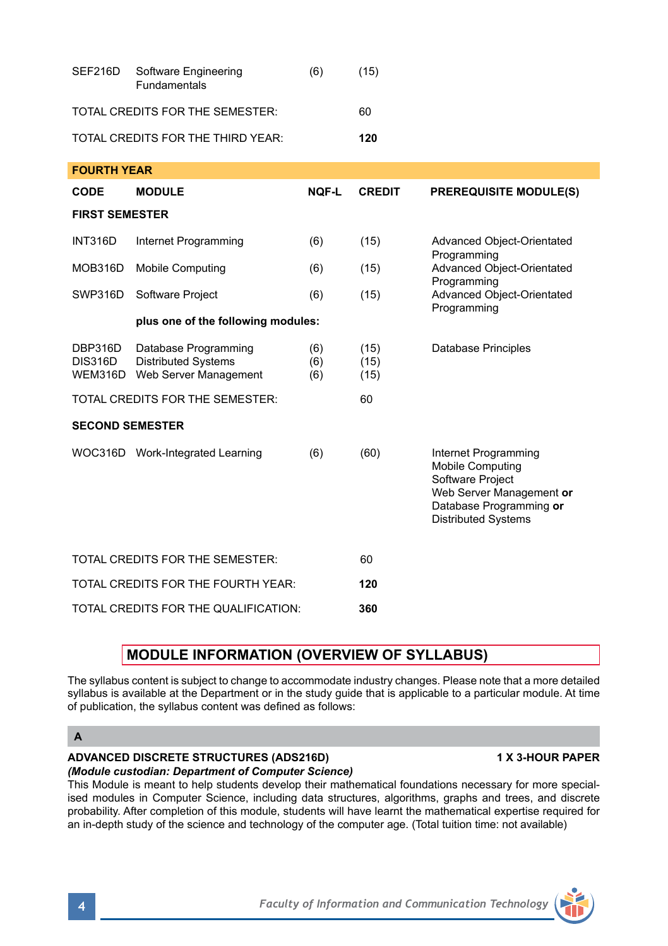| SEF216D                              | Software Engineering<br><b>Fundamentals</b>                                 | (6)               | (15)                 |                                                                                                                                                          |
|--------------------------------------|-----------------------------------------------------------------------------|-------------------|----------------------|----------------------------------------------------------------------------------------------------------------------------------------------------------|
| TOTAL CREDITS FOR THE SEMESTER:      |                                                                             |                   | 60                   |                                                                                                                                                          |
| TOTAL CREDITS FOR THE THIRD YEAR:    |                                                                             |                   | 120                  |                                                                                                                                                          |
| <b>FOURTH YEAR</b>                   |                                                                             |                   |                      |                                                                                                                                                          |
| CODE                                 | <b>MODULE</b>                                                               | <b>NOF-L</b>      | <b>CREDIT</b>        | <b>PREREQUISITE MODULE(S)</b>                                                                                                                            |
| <b>FIRST SEMESTER</b>                |                                                                             |                   |                      |                                                                                                                                                          |
| <b>INT316D</b>                       | Internet Programming                                                        | (6)               | (15)                 | Advanced Object-Orientated<br>Programming                                                                                                                |
| MOB316D                              | <b>Mobile Computing</b>                                                     | (6)               | (15)                 | Advanced Object-Orientated<br>Programming                                                                                                                |
| SWP316D                              | Software Project                                                            | (6)               | (15)                 | Advanced Object-Orientated<br>Programming                                                                                                                |
|                                      | plus one of the following modules:                                          |                   |                      |                                                                                                                                                          |
| DBP316D<br><b>DIS316D</b><br>WEM316D | Database Programming<br><b>Distributed Systems</b><br>Web Server Management | (6)<br>(6)<br>(6) | (15)<br>(15)<br>(15) | Database Principles                                                                                                                                      |
|                                      | TOTAL CREDITS FOR THE SEMESTER:                                             |                   | 60                   |                                                                                                                                                          |
| <b>SECOND SEMESTER</b>               |                                                                             |                   |                      |                                                                                                                                                          |
|                                      | WOC316D Work-Integrated Learning                                            | (6)               | (60)                 | Internet Programming<br><b>Mobile Computing</b><br>Software Project<br>Web Server Management or<br>Database Programming or<br><b>Distributed Systems</b> |
| TOTAL CREDITS FOR THE SEMESTER:      |                                                                             |                   | 60                   |                                                                                                                                                          |
| TOTAL CREDITS FOR THE FOURTH YEAR:   |                                                                             | 120               |                      |                                                                                                                                                          |
| TOTAL CREDITS FOR THE QUALIFICATION: |                                                                             |                   | 360                  |                                                                                                                                                          |

# **MODULE INFORMATION (OVERVIEW OF SYLLABUS)**

The syllabus content is subject to change to accommodate industry changes. Please note that a more detailed syllabus is available at the Department or in the study guide that is applicable to a particular module. At time of publication, the syllabus content was defined as follows:

## **ADVANCED DISCRETE STRUCTURES (ADS216D) 1 X 3-HOUR PAPER**

*(Module custodian: Department of Computer Science)* This Module is meant to help students develop their mathematical foundations necessary for more specialised modules in Computer Science, including data structures, algorithms, graphs and trees, and discrete probability. After completion of this module, students will have learnt the mathematical expertise required for an in-depth study of the science and technology of the computer age. (Total tuition time: not available)



**A**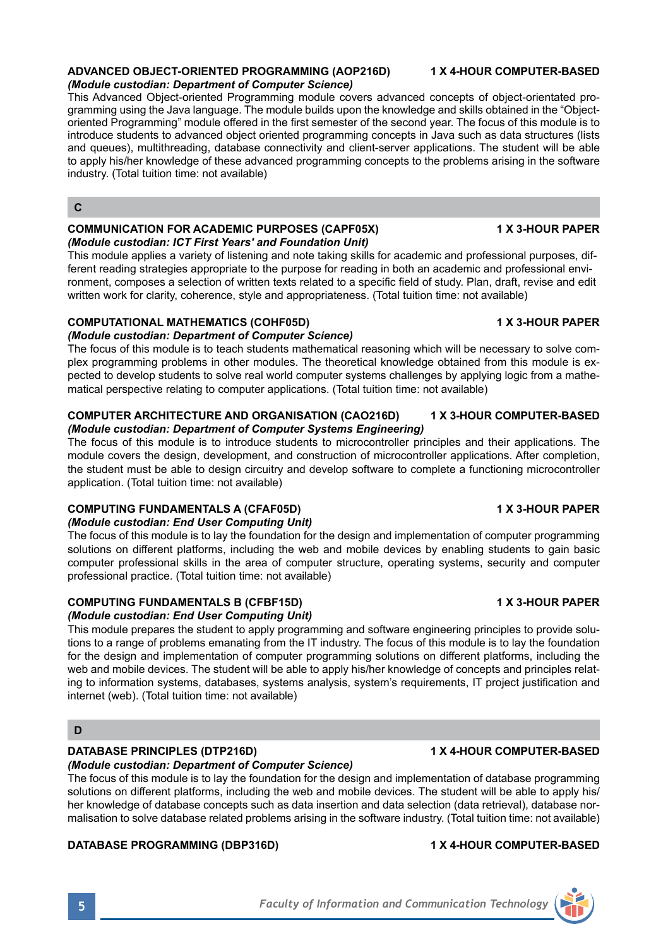#### **ADVANCED OBJECT-ORIENTED PROGRAMMING (AOP216D) 1 X 4-HOUR COMPUTER-BASED** *(Module custodian: Department of Computer Science)*

This Advanced Object-oriented Programming module covers advanced concepts of object-orientated programming using the Java language. The module builds upon the knowledge and skills obtained in the "Objectoriented Programming" module offered in the first semester of the second year. The focus of this module is to introduce students to advanced object oriented programming concepts in Java such as data structures (lists and queues), multithreading, database connectivity and client-server applications. The student will be able to apply his/her knowledge of these advanced programming concepts to the problems arising in the software industry. (Total tuition time: not available)

## **C**

#### **COMMUNICATION FOR ACADEMIC PURPOSES (CAPF05X) 4 X 3-HOUR PAPER** *(Module custodian: ICT First Years' and Foundation Unit)*

This module applies a variety of listening and note taking skills for academic and professional purposes, different reading strategies appropriate to the purpose for reading in both an academic and professional environment, composes a selection of written texts related to a specific field of study. Plan, draft, revise and edit written work for clarity, coherence, style and appropriateness. (Total tuition time: not available)

# **COMPUTATIONAL MATHEMATICS (COHF05D) 1 X 3-HOUR PAPER**

## *(Module custodian: Department of Computer Science)*

The focus of this module is to teach students mathematical reasoning which will be necessary to solve complex programming problems in other modules. The theoretical knowledge obtained from this module is expected to develop students to solve real world computer systems challenges by applying logic from a mathematical perspective relating to computer applications. (Total tuition time: not available)

### **COMPUTER ARCHITECTURE AND ORGANISATION (CAO216D) 1 X 3-HOUR COMPUTER-BASED** *(Module custodian: Department of Computer Systems Engineering)*

The focus of this module is to introduce students to microcontroller principles and their applications. The module covers the design, development, and construction of microcontroller applications. After completion, the student must be able to design circuitry and develop software to complete a functioning microcontroller application. (Total tuition time: not available)

# **COMPUTING FUNDAMENTALS A (CFAF05D) 1 X 3-HOUR PAPER**

## *(Module custodian: End User Computing Unit)*

The focus of this module is to lay the foundation for the design and implementation of computer programming solutions on different platforms, including the web and mobile devices by enabling students to gain basic computer professional skills in the area of computer structure, operating systems, security and computer professional practice. (Total tuition time: not available)

# **COMPUTING FUNDAMENTALS B (CFBF15D) 1 X 3-HOUR PAPER**

# *(Module custodian: End User Computing Unit)*

This module prepares the student to apply programming and software engineering principles to provide solutions to a range of problems emanating from the IT industry. The focus of this module is to lay the foundation for the design and implementation of computer programming solutions on different platforms, including the web and mobile devices. The student will be able to apply his/her knowledge of concepts and principles relating to information systems, databases, systems analysis, system's requirements, IT project justification and internet (web). (Total tuition time: not available)

# **DATABASE PRINCIPLES (DTP216D) 1 X 4-HOUR COMPUTER-BASED**

*(Module custodian: Department of Computer Science)*  The focus of this module is to lay the foundation for the design and implementation of database programming solutions on different platforms, including the web and mobile devices. The student will be able to apply his/ her knowledge of database concepts such as data insertion and data selection (data retrieval), database normalisation to solve database related problems arising in the software industry. (Total tuition time: not available)

# **DATABASE PROGRAMMING (DBP316D) 1 X 4-HOUR COMPUTER-BASED**

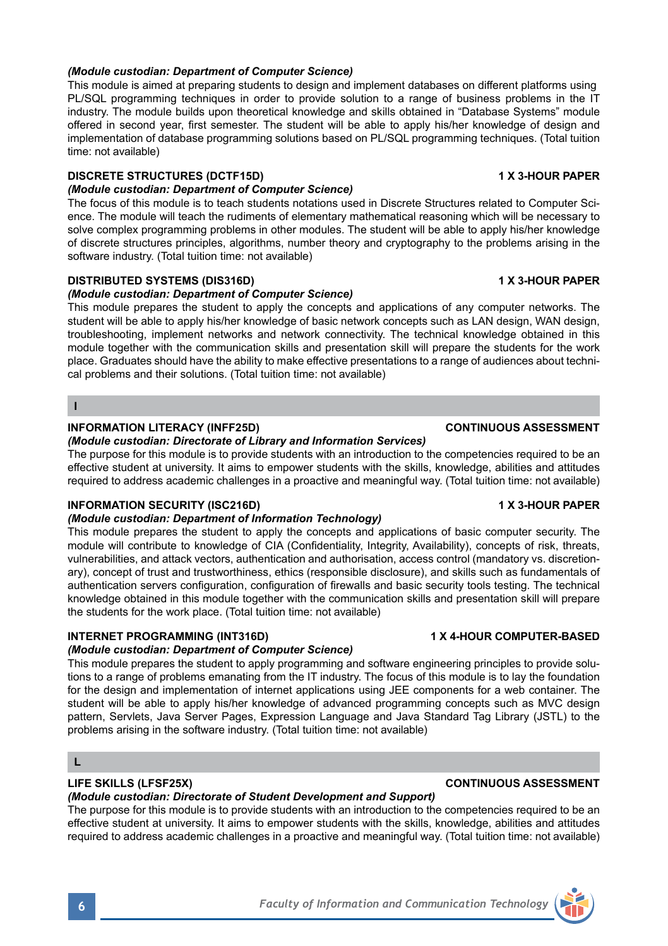# *(Module custodian: Department of Computer Science)*

This module is aimed at preparing students to design and implement databases on different platforms using PL/SQL programming techniques in order to provide solution to a range of business problems in the IT industry. The module builds upon theoretical knowledge and skills obtained in "Database Systems" module offered in second year, first semester. The student will be able to apply his/her knowledge of design and implementation of database programming solutions based on PL/SQL programming techniques. (Total tuition time: not available)

# **DISCRETE STRUCTURES (DCTF15D) 1 X 3-HOUR PAPER**

# *(Module custodian: Department of Computer Science)*

The focus of this module is to teach students notations used in Discrete Structures related to Computer Science. The module will teach the rudiments of elementary mathematical reasoning which will be necessary to solve complex programming problems in other modules. The student will be able to apply his/her knowledge of discrete structures principles, algorithms, number theory and cryptography to the problems arising in the software industry. (Total tuition time: not available)

# **DISTRIBUTED SYSTEMS (DIS316D) 1 X 3-HOUR PAPER**

# *(Module custodian: Department of Computer Science)*

This module prepares the student to apply the concepts and applications of any computer networks. The student will be able to apply his/her knowledge of basic network concepts such as LAN design, WAN design, troubleshooting, implement networks and network connectivity. The technical knowledge obtained in this module together with the communication skills and presentation skill will prepare the students for the work place. Graduates should have the ability to make effective presentations to a range of audiences about technical problems and their solutions. (Total tuition time: not available)

## **I**

## **INFORMATION LITERACY (INFF25D) CONTINUOUS ASSESSMENT**

## *(Module custodian: Directorate of Library and Information Services)*

The purpose for this module is to provide students with an introduction to the competencies required to be an effective student at university. It aims to empower students with the skills, knowledge, abilities and attitudes required to address academic challenges in a proactive and meaningful way. (Total tuition time: not available)

## **INFORMATION SECURITY (ISC216D) 1 X 3-HOUR PAPER**

## *(Module custodian: Department of Information Technology)*

This module prepares the student to apply the concepts and applications of basic computer security. The module will contribute to knowledge of CIA (Confidentiality, Integrity, Availability), concepts of risk, threats, vulnerabilities, and attack vectors, authentication and authorisation, access control (mandatory vs. discretionary), concept of trust and trustworthiness, ethics (responsible disclosure), and skills such as fundamentals of authentication servers configuration, configuration of firewalls and basic security tools testing. The technical knowledge obtained in this module together with the communication skills and presentation skill will prepare the students for the work place. (Total tuition time: not available)

## **INTERNET PROGRAMMING (INT316D) 1 X 4-HOUR COMPUTER-BASED**

## *(Module custodian: Department of Computer Science)*

This module prepares the student to apply programming and software engineering principles to provide solutions to a range of problems emanating from the IT industry. The focus of this module is to lay the foundation for the design and implementation of internet applications using JEE components for a web container. The student will be able to apply his/her knowledge of advanced programming concepts such as MVC design pattern, Servlets, Java Server Pages, Expression Language and Java Standard Tag Library (JSTL) to the problems arising in the software industry. (Total tuition time: not available)

# **L**

# *(Module custodian: Directorate of Student Development and Support)*

The purpose for this module is to provide students with an introduction to the competencies required to be an effective student at university. It aims to empower students with the skills, knowledge, abilities and attitudes required to address academic challenges in a proactive and meaningful way. (Total tuition time: not available)

## **LIFE SKILLS (LFSF25X) CONTINUOUS ASSESSMENT**

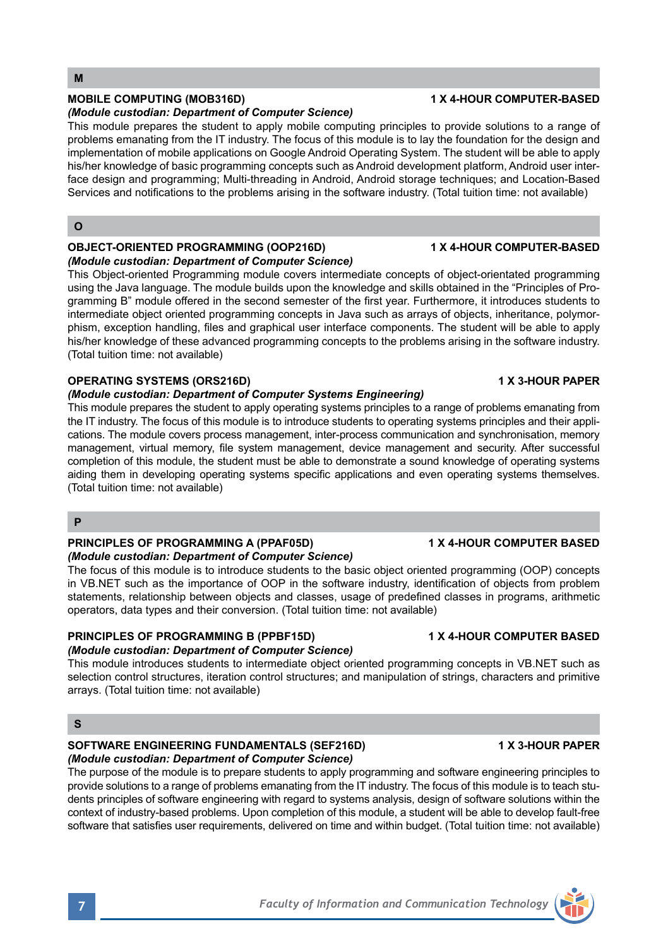### *(Module custodian: Department of Computer Science)*

This module prepares the student to apply mobile computing principles to provide solutions to a range of problems emanating from the IT industry. The focus of this module is to lay the foundation for the design and implementation of mobile applications on Google Android Operating System. The student will be able to apply his/her knowledge of basic programming concepts such as Android development platform, Android user interface design and programming; Multi-threading in Android, Android storage techniques; and Location-Based Services and notifications to the problems arising in the software industry. (Total tuition time: not available)

## **O**

### **OBJECT-ORIENTED PROGRAMMING (OOP216D) 1 X 4-HOUR COMPUTER-BASED** *(Module custodian: Department of Computer Science)*

This Object-oriented Programming module covers intermediate concepts of object-orientated programming using the Java language. The module builds upon the knowledge and skills obtained in the "Principles of Programming B" module offered in the second semester of the first year. Furthermore, it introduces students to intermediate object oriented programming concepts in Java such as arrays of objects, inheritance, polymorphism, exception handling, files and graphical user interface components. The student will be able to apply his/her knowledge of these advanced programming concepts to the problems arising in the software industry. (Total tuition time: not available)

## **OPERATING SYSTEMS (ORS216D)** 1 X 3-HOUR PAPER

# *(Module custodian: Department of Computer Systems Engineering)*

This module prepares the student to apply operating systems principles to a range of problems emanating from the IT industry. The focus of this module is to introduce students to operating systems principles and their applications. The module covers process management, inter-process communication and synchronisation, memory management, virtual memory, file system management, device management and security. After successful completion of this module, the student must be able to demonstrate a sound knowledge of operating systems aiding them in developing operating systems specific applications and even operating systems themselves. (Total tuition time: not available)

## **P**

## **PRINCIPLES OF PROGRAMMING A (PPAF05D) 1 X 4-HOUR COMPUTER BASED**

## *(Module custodian: Department of Computer Science)*

The focus of this module is to introduce students to the basic object oriented programming (OOP) concepts in VB.NET such as the importance of OOP in the software industry, identification of objects from problem statements, relationship between objects and classes, usage of predefined classes in programs, arithmetic operators, data types and their conversion. (Total tuition time: not available)

# **PRINCIPLES OF PROGRAMMING B (PPBF15D) 1 X 4-HOUR COMPUTER BASED**

# *(Module custodian: Department of Computer Science)*

This module introduces students to intermediate object oriented programming concepts in VB.NET such as selection control structures, iteration control structures; and manipulation of strings, characters and primitive arrays. (Total tuition time: not available)

# **S**

# SOFTWARE ENGINEERING FUNDAMENTALS (SEF216D) **1 X 3-HOUR PAPER** *(Module custodian: Department of Computer Science)*

The purpose of the module is to prepare students to apply programming and software engineering principles to provide solutions to a range of problems emanating from the IT industry. The focus of this module is to teach students principles of software engineering with regard to systems analysis, design of software solutions within the context of industry-based problems. Upon completion of this module, a student will be able to develop fault-free software that satisfies user requirements, delivered on time and within budget. (Total tuition time: not available)

# **MOBILE COMPUTING (MOB316D) 1 X 4-HOUR COMPUTER-BASED**